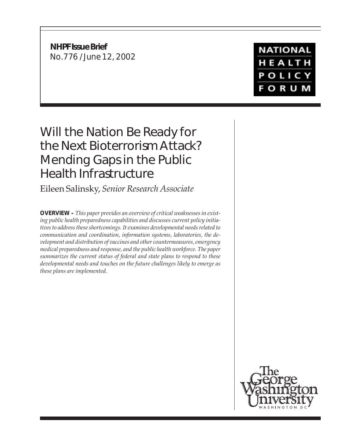**NHPF Issue Brief** No.776 / June 12, 2002

**NATIONAL** HEALTH POLICY **FORUM** 

# Will the Nation Be Ready for the Next Bioterrorism Attack? Mending Gaps in the Public Health Infrastructure

Eileen Salinsky, *Senior Research Associate*

**OVERVIEW –** *This paper provides an overview of critical weaknesses in existing public health preparedness capabilities and discusses current policy initiatives to address these shortcomings. It examines developmental needs related to communication and coordination, information systems, laboratories, the development and distribution of vaccines and other countermeasures, emergency medical preparedness and response, and the public health workforce. The paper summarizes the current status of federal and state plans to respond to these developmental needs and touches on the future challenges likely to emerge as these plans are implemented.*

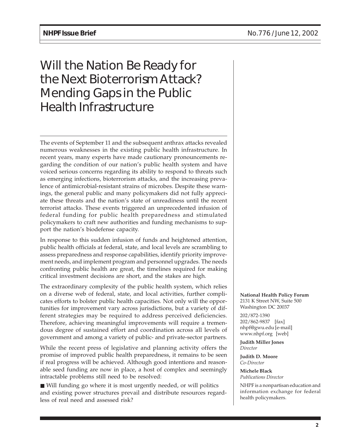# Will the Nation Be Ready for the Next Bioterrorism Attack? Mending Gaps in the Public Health Infrastructure

The events of September 11 and the subsequent anthrax attacks revealed numerous weaknesses in the existing public health infrastructure. In recent years, many experts have made cautionary pronouncements regarding the condition of our nation's public health system and have voiced serious concerns regarding its ability to respond to threats such as emerging infections, bioterrorism attacks, and the increasing prevalence of antimicrobial-resistant strains of microbes. Despite these warnings, the general public and many policymakers did not fully appreciate these threats and the nation's state of unreadiness until the recent terrorist attacks. These events triggered an unprecedented infusion of federal funding for public health preparedness and stimulated policymakers to craft new authorities and funding mechanisms to support the nation's biodefense capacity.

In response to this sudden infusion of funds and heightened attention, public health officials at federal, state, and local levels are scrambling to assess preparedness and response capabilities, identify priority improvement needs, and implement program and personnel upgrades. The needs confronting public health are great, the timelines required for making critical investment decisions are short, and the stakes are high.

The extraordinary complexity of the public health system, which relies on a diverse web of federal, state, and local activities, further complicates efforts to bolster public health capacities. Not only will the opportunities for improvement vary across jurisdictions, but a variety of different strategies may be required to address perceived deficiencies. Therefore, achieving meaningful improvements will require a tremendous degree of sustained effort and coordination across all levels of government and among a variety of public- and private-sector partners.

While the recent press of legislative and planning activity offers the promise of improved public health preparedness, it remains to be seen if real progress will be achieved. Although good intentions and reasonable seed funding are now in place, a host of complex and seemingly intractable problems still need to be resolved:

■ Will funding go where it is most urgently needed, or will politics and existing power structures prevail and distribute resources regardless of real need and assessed risk?

**National Health Policy Forum** 2131 K Street NW, Suite 500 Washington DC 20037

202/872-1390 202/862-9837 [fax] nhpf@gwu.edu [e-mail] www.nhpf.org [web]

**Judith Miller Jones** *Director*

**Judith D. Moore** *Co-Director*

**Michele Black** *Publications Director*

NHPF is a nonpartisan education and information exchange for federal health policymakers.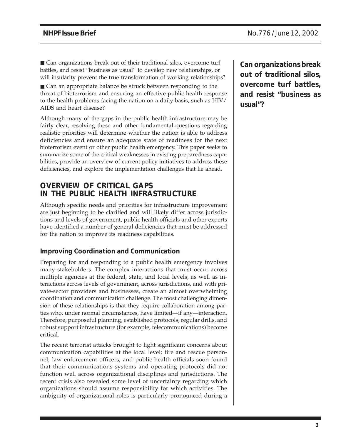■ Can organizations break out of their traditional silos, overcome turf battles, and resist "business as usual" to develop new relationships, or will insularity prevent the true transformation of working relationships?

■ Can an appropriate balance be struck between responding to the threat of bioterrorism and ensuring an effective public health response to the health problems facing the nation on a daily basis, such as HIV/ AIDS and heart disease?

Although many of the gaps in the public health infrastructure may be fairly clear, resolving these and other fundamental questions regarding realistic priorities will determine whether the nation is able to address deficiencies and ensure an adequate state of readiness for the next bioterrorism event or other public health emergency. This paper seeks to summarize some of the critical weaknesses in existing preparedness capabilities, provide an overview of current policy initiatives to address these deficiencies, and explore the implementation challenges that lie ahead.

# **OVERVIEW OF CRITICAL GAPS IN THE PUBLIC HEALTH INFRASTRUCTURE**

Although specific needs and priorities for infrastructure improvement are just beginning to be clarified and will likely differ across jurisdictions and levels of government, public health officials and other experts have identified a number of general deficiencies that must be addressed for the nation to improve its readiness capabilities.

#### **Improving Coordination and Communication**

Preparing for and responding to a public health emergency involves many stakeholders. The complex interactions that must occur across multiple agencies at the federal, state, and local levels, as well as interactions across levels of government, across jurisdictions, and with private-sector providers and businesses, create an almost overwhelming coordination and communication challenge. The most challenging dimension of these relationships is that they require collaboration among parties who, under normal circumstances, have limited—if any—interaction. Therefore, purposeful planning, established protocols, regular drills, and robust support infrastructure (for example, telecommunications) become critical.

The recent terrorist attacks brought to light significant concerns about communication capabilities at the local level; fire and rescue personnel, law enforcement officers, and public health officials soon found that their communications systems and operating protocols did not function well across organizational disciplines and jurisdictions. The recent crisis also revealed some level of uncertainty regarding which organizations should assume responsibility for which activities. The ambiguity of organizational roles is particularly pronounced during a

**Can organizations break out of traditional silos, overcome turf battles, and resist "business as usual"?**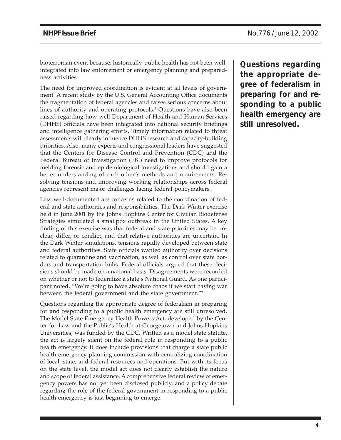bioterrorism event because, historically, public health has not been wellintegrated into law enforcement or emergency planning and preparedness activities.

The need for improved coordination is evident at all levels of government. A recent study by the U.S. General Accounting Office documents the fragmentation of federal agencies and raises serious concerns about lines of authority and operating protocols.1 Questions have also been raised regarding how well Department of Health and Human Services (DHHS) officials have been integrated into national security briefings and intelligence gathering efforts. Timely information related to threat assessments will clearly influence DHHS research and capacity-building priorities. Also, many experts and congressional leaders have suggested that the Centers for Disease Control and Prevention (CDC) and the Federal Bureau of Investigation (FBI) need to improve protocols for melding forensic and epidemiological investigations and should gain a better understanding of each other's methods and requirements. Resolving tensions and improving working relationships across federal agencies represent major challenges facing federal policymakers.

Less well-documented are concerns related to the coordination of federal and state authorities and responsibilities. The Dark Winter exercise held in June 2001 by the Johns Hopkins Center for Civilian Biodefense Strategies simulated a smallpox outbreak in the United States. A key finding of this exercise was that federal and state priorities may be unclear, differ, or conflict; and that relative authorities are uncertain. In the Dark Winter simulations, tensions rapidly developed between state and federal authorities. State officials wanted authority over decisions related to quarantine and vaccination, as well as control over state borders and transportation hubs. Federal officials argued that these decisions should be made on a national basis. Disagreements were recorded on whether or not to federalize a state's National Guard. As one participant noted, "We're going to have absolute chaos if we start having war between the federal government and the state government."<sup>2</sup>

Questions regarding the appropriate degree of federalism in preparing for and responding to a public health emergency are still unresolved. The Model State Emergency Health Powers Act, developed by the Center for Law and the Public's Health at Georgetown and Johns Hopkins Universities, was funded by the CDC. Written as a model state statute, the act is largely silent on the federal role in responding to a public health emergency. It does include provisions that charge a state public health emergency planning commission with centralizing coordination of local, state, and federal resources and operations. But with its focus on the state level, the model act does not clearly establish the nature and scope of federal assistance. A comprehensive federal review of emergency powers has not yet been disclosed publicly, and a policy debate regarding the role of the federal government in responding to a public health emergency is just beginning to emerge.

**Questions regarding the appropriate degree of federalism in preparing for and responding to a public health emergency are still unresolved.**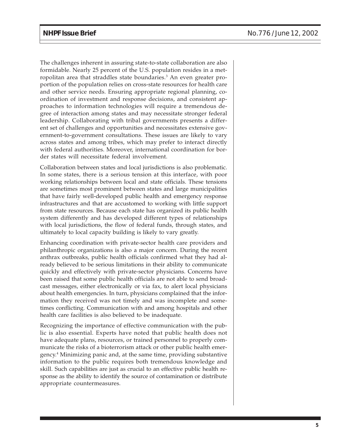The challenges inherent in assuring state-to-state collaboration are also formidable. Nearly 25 percent of the U.S. population resides in a metropolitan area that straddles state boundaries.<sup>3</sup> An even greater proportion of the population relies on cross-state resources for health care and other service needs. Ensuring appropriate regional planning, coordination of investment and response decisions, and consistent approaches to information technologies will require a tremendous degree of interaction among states and may necessitate stronger federal leadership. Collaborating with tribal governments presents a different set of challenges and opportunities and necessitates extensive government-to-government consultations. These issues are likely to vary across states and among tribes, which may prefer to interact directly with federal authorities. Moreover, international coordination for border states will necessitate federal involvement.

Collaboration between states and local jurisdictions is also problematic. In some states, there is a serious tension at this interface, with poor working relationships between local and state officials. These tensions are sometimes most prominent between states and large municipalities that have fairly well-developed public health and emergency response infrastructures and that are accustomed to working with little support from state resources. Because each state has organized its public health system differently and has developed different types of relationships with local jurisdictions, the flow of federal funds, through states, and ultimately to local capacity building is likely to vary greatly.

Enhancing coordination with private-sector health care providers and philanthropic organizations is also a major concern. During the recent anthrax outbreaks, public health officials confirmed what they had already believed to be serious limitations in their ability to communicate quickly and effectively with private-sector physicians. Concerns have been raised that some public health officials are not able to send broadcast messages, either electronically or via fax, to alert local physicians about health emergencies. In turn, physicians complained that the information they received was not timely and was incomplete and sometimes conflicting. Communication with and among hospitals and other health care facilities is also believed to be inadequate.

Recognizing the importance of effective communication with the public is also essential. Experts have noted that public health does not have adequate plans, resources, or trained personnel to properly communicate the risks of a bioterrorism attack or other public health emergency.4 Minimizing panic and, at the same time, providing substantive information to the public requires both tremendous knowledge and skill. Such capabilities are just as crucial to an effective public health response as the ability to identify the source of contamination or distribute appropriate countermeasures.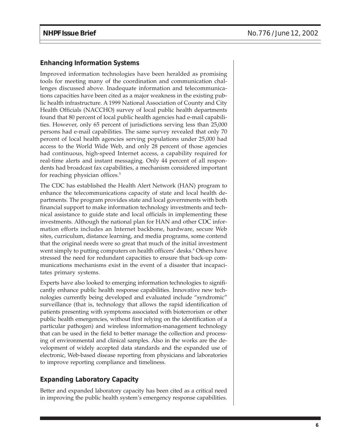#### **Enhancing Information Systems**

Improved information technologies have been heralded as promising tools for meeting many of the coordination and communication challenges discussed above. Inadequate information and telecommunications capacities have been cited as a major weakness in the existing public health infrastructure. A 1999 National Association of County and City Health Officials (NACCHO) survey of local public health departments found that 80 percent of local public health agencies had e-mail capabilities. However, only 65 percent of jurisdictions serving less than 25,000 persons had e-mail capabilities. The same survey revealed that only 70 percent of local health agencies serving populations under 25,000 had access to the World Wide Web, and only 28 percent of those agencies had continuous, high-speed Internet access, a capability required for real-time alerts and instant messaging. Only 44 percent of all respondents had broadcast fax capabilities, a mechanism considered important for reaching physician offices.<sup>5</sup>

The CDC has established the Health Alert Network (HAN) program to enhance the telecommunications capacity of state and local health departments. The program provides state and local governments with both financial support to make information technology investments and technical assistance to guide state and local officials in implementing these investments. Although the national plan for HAN and other CDC information efforts includes an Internet backbone, hardware, secure Web sites, curriculum, distance learning, and media programs, some contend that the original needs were so great that much of the initial investment went simply to putting computers on health officers' desks.6 Others have stressed the need for redundant capacities to ensure that back-up communications mechanisms exist in the event of a disaster that incapacitates primary systems.

Experts have also looked to emerging information technologies to significantly enhance public health response capabilities. Innovative new technologies currently being developed and evaluated include "syndromic" surveillance (that is, technology that allows the rapid identification of patients presenting with symptoms associated with bioterrorism or other public health emergencies, without first relying on the identification of a particular pathogen) and wireless information-management technology that can be used in the field to better manage the collection and processing of environmental and clinical samples. Also in the works are the development of widely accepted data standards and the expanded use of electronic, Web-based disease reporting from physicians and laboratories to improve reporting compliance and timeliness.

### **Expanding Laboratory Capacity**

Better and expanded laboratory capacity has been cited as a critical need in improving the public health system's emergency response capabilities.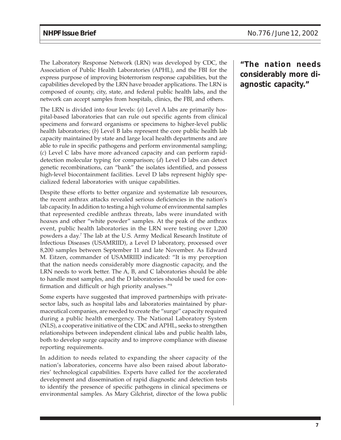The Laboratory Response Network (LRN) was developed by CDC, the Association of Public Health Laboratories (APHL), and the FBI for the express purpose of improving bioterrorism response capabilities, but the capabilities developed by the LRN have broader applications. The LRN is composed of county, city, state, and federal public health labs, and the network can accept samples from hospitals, clinics, the FBI, and others.

The LRN is divided into four levels: (*a*) Level A labs are primarily hospital-based laboratories that can rule out specific agents from clinical specimens and forward organisms or specimens to higher-level public health laboratories; (*b*) Level B labs represent the core public health lab capacity maintained by state and large local health departments and are able to rule in specific pathogens and perform environmental sampling; (*c*) Level C labs have more advanced capacity and can perform rapiddetection molecular typing for comparison; (*d*) Level D labs can detect genetic recombinations, can "bank" the isolates identified, and possess high-level biocontainment facilities. Level D labs represent highly specialized federal laboratories with unique capabilities.

Despite these efforts to better organize and systematize lab resources, the recent anthrax attacks revealed serious deficiencies in the nation's lab capacity. In addition to testing a high volume of environmental samples that represented credible anthrax threats, labs were inundated with hoaxes and other "white powder" samples. At the peak of the anthrax event, public health laboratories in the LRN were testing over 1,200 powders a day.7 The lab at the U.S. Army Medical Research Institute of Infectious Diseases (USAMRIID), a Level D laboratory, processed over 8,200 samples between September 11 and late November. As Edward M. Eitzen, commander of USAMRIID indicated: "It is my perception that the nation needs considerably more diagnostic capacity, and the LRN needs to work better. The A, B, and C laboratories should be able to handle most samples, and the D laboratories should be used for confirmation and difficult or high priority analyses."8

Some experts have suggested that improved partnerships with privatesector labs, such as hospital labs and laboratories maintained by pharmaceutical companies, are needed to create the "surge" capacity required during a public health emergency. The National Laboratory System (NLS), a cooperative initiative of the CDC and APHL, seeks to strengthen relationships between independent clinical labs and public health labs, both to develop surge capacity and to improve compliance with disease reporting requirements.

In addition to needs related to expanding the sheer capacity of the nation's laboratories, concerns have also been raised about laboratories' technological capabilities. Experts have called for the accelerated development and dissemination of rapid diagnostic and detection tests to identify the presence of specific pathogens in clinical specimens or environmental samples. As Mary Gilchrist, director of the Iowa public

**"The nation needs considerably more diagnostic capacity."**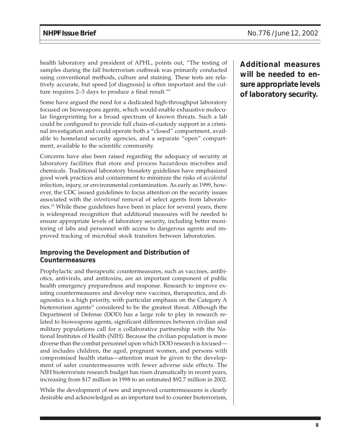health laboratory and president of APHL, points out, "The testing of samples during the fall bioterrorism outbreak was primarily conducted using conventional methods, culture and staining. These tests are relatively accurate, but speed [of diagnosis] is often important and the culture requires 2–3 days to produce a final result."9

Some have argued the need for a dedicated high-throughput laboratory focused on bioweapons agents, which would enable exhaustive molecular fingerprinting for a broad spectrum of known threats. Such a lab could be configured to provide full chain-of-custody support in a criminal investigation and could operate both a "closed" compartment, available to homeland security agencies, and a separate "open" compartment, available to the scientific community.

Concerns have also been raised regarding the adequacy of security at laboratory facilities that store and process hazardous microbes and chemicals. Traditional laboratory biosafety guidelines have emphasized good work practices and containment to minimize the risks of *accidental* infection, injury, or environmental contamination. As early as 1999, however, the CDC issued guidelines to focus attention on the security issues associated with the *intentional* removal of select agents from laboratories.10 While these guidelines have been in place for several years, there is widespread recognition that additional measures will be needed to ensure appropriate levels of laboratory security, including better monitoring of labs and personnel with access to dangerous agents and improved tracking of microbial stock transfers between laboratories.

#### **Improving the Development and Distribution of Countermeasures**

Prophylactic and therapeutic countermeasures, such as vaccines, antibiotics, antivirals, and antitoxins, are an important component of public health emergency preparedness and response. Research to improve existing countermeasures and develop new vaccines, therapeutics, and diagnostics is a high priority, with particular emphasis on the Category A bioterrorism agents<sup>11</sup> considered to be the greatest threat. Although the Department of Defense (DOD) has a large role to play in research related to bioweapons agents, significant differences between civilian and military populations call for a collaborative partnership with the National Institutes of Health (NIH). Because the civilian population is more diverse than the combat personnel upon which DOD research is focused and includes children, the aged, pregnant women, and persons with compromised health status—attention must be given to the development of safer countermeasures with fewer adverse side effects. The NIH bioterrorism research budget has risen dramatically in recent years, increasing from \$17 million in 1998 to an estimated \$92.7 million in 2002.

While the development of new and improved countermeasures is clearly desirable and acknowledged as an important tool to counter bioterrorism, **Additional measures will be needed to ensure appropriate levels of laboratory security.**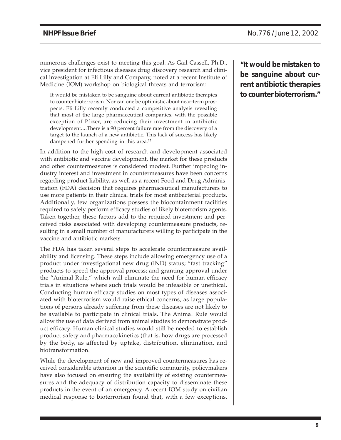numerous challenges exist to meeting this goal. As Gail Cassell, Ph.D., vice president for infectious diseases drug discovery research and clinical investigation at Eli Lilly and Company, noted at a recent Institute of Medicine (IOM) workshop on biological threats and terrorism:

It would be mistaken to be sanguine about current antibiotic therapies to counter bioterrorism. Nor can one be optimistic about near-term prospects. Eli Lilly recently conducted a competitive analysis revealing that most of the large pharmaceutical companies, with the possible exception of Pfizer, are reducing their investment in antibiotic development....There is a 90 percent failure rate from the discovery of a target to the launch of a new antibiotic. This lack of success has likely dampened further spending in this area.<sup>12</sup>

In addition to the high cost of research and development associated with antibiotic and vaccine development, the market for these products and other countermeasures is considered modest. Further impeding industry interest and investment in countermeasures have been concerns regarding product liability, as well as a recent Food and Drug Administration (FDA) decision that requires pharmaceutical manufacturers to use more patients in their clinical trials for most antibacterial products. Additionally, few organizations possess the biocontainment facilities required to safely perform efficacy studies of likely bioterrorism agents. Taken together, these factors add to the required investment and perceived risks associated with developing countermeasure products, resulting in a small number of manufacturers willing to participate in the vaccine and antibiotic markets.

The FDA has taken several steps to accelerate countermeasure availability and licensing. These steps include allowing emergency use of a product under investigational new drug (IND) status; "fast tracking" products to speed the approval process; and granting approval under the "Animal Rule," which will eliminate the need for human efficacy trials in situations where such trials would be infeasible or unethical. Conducting human efficacy studies on most types of diseases associated with bioterrorism would raise ethical concerns, as large populations of persons already suffering from these diseases are not likely to be available to participate in clinical trials. The Animal Rule would allow the use of data derived from animal studies to demonstrate product efficacy. Human clinical studies would still be needed to establish product safety and pharmacokinetics (that is, how drugs are processed by the body, as affected by uptake, distribution, elimination, and biotransformation.

While the development of new and improved countermeasures has received considerable attention in the scientific community, policymakers have also focused on ensuring the availability of existing countermeasures and the adequacy of distribution capacity to disseminate these products in the event of an emergency. A recent IOM study on civilian medical response to bioterrorism found that, with a few exceptions,

**"It would be mistaken to be sanguine about current antibiotic therapies to counter bioterrorism."**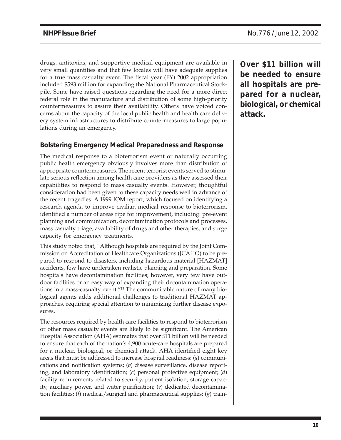drugs, antitoxins, and supportive medical equipment are available in very small quantities and that few locales will have adequate supplies for a true mass casualty event. The fiscal year (FY) 2002 appropriation included \$593 million for expanding the National Pharmaceutical Stockpile. Some have raised questions regarding the need for a more direct federal role in the manufacture and distribution of some high-priority countermeasures to assure their availability. Others have voiced concerns about the capacity of the local public health and health care delivery system infrastructures to distribute countermeasures to large populations during an emergency.

### **Bolstering Emergency Medical Preparedness and Response**

The medical response to a bioterrorism event or naturally occurring public health emergency obviously involves more than distribution of appropriate countermeasures. The recent terrorist events served to stimulate serious reflection among health care providers as they assessed their capabilities to respond to mass casualty events. However, thoughtful consideration had been given to these capacity needs well in advance of the recent tragedies. A 1999 IOM report, which focused on identifying a research agenda to improve civilian medical response to bioterrorism, identified a number of areas ripe for improvement, including: pre-event planning and communication, decontamination protocols and processes, mass casualty triage, availability of drugs and other therapies, and surge capacity for emergency treatments.

This study noted that, "Although hospitals are required by the Joint Commission on Accreditation of Healthcare Organizations (JCAHO) to be prepared to respond to disasters, including hazardous material [HAZMAT] accidents, few have undertaken realistic planning and preparation. Some hospitals have decontamination facilities; however, very few have outdoor facilities or an easy way of expanding their decontamination operations in a mass-casualty event."13 The communicable nature of many biological agents adds additional challenges to traditional HAZMAT approaches, requiring special attention to minimizing further disease exposures.

The resources required by health care facilities to respond to bioterrorism or other mass casualty events are likely to be significant. The American Hospital Association (AHA) estimates that over \$11 billion will be needed to ensure that each of the nation's 4,900 acute-care hospitals are prepared for a nuclear, biological, or chemical attack. AHA identified eight key areas that must be addressed to increase hospital readiness: (*a*) communications and notification systems; (*b*) disease surveillance, disease reporting, and laboratory identification; (*c*) personal protective equipment; (*d*) facility requirements related to security, patient isolation, storage capacity, auxiliary power, and water purification; (*e*) dedicated decontamination facilities; (*f*) medical/surgical and pharmaceutical supplies; (*g*) train**Over \$11 billion will be needed to ensure all hospitals are prepared for a nuclear, biological, or chemical attack.**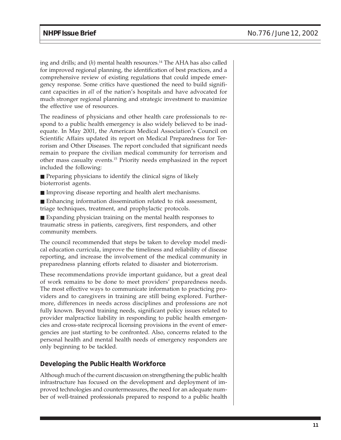ing and drills; and (*h*) mental health resources.<sup>14</sup> The AHA has also called for improved regional planning, the identification of best practices, and a comprehensive review of existing regulations that could impede emergency response. Some critics have questioned the need to build significant capacities in *all* of the nation's hospitals and have advocated for much stronger regional planning and strategic investment to maximize the effective use of resources.

The readiness of physicians and other health care professionals to respond to a public health emergency is also widely believed to be inadequate. In May 2001, the American Medical Association's Council on Scientific Affairs updated its report on Medical Preparedness for Terrorism and Other Diseases. The report concluded that significant needs remain to prepare the civilian medical community for terrorism and other mass casualty events.15 Priority needs emphasized in the report included the following:

■ Preparing physicians to identify the clinical signs of likely bioterrorist agents.

■ Improving disease reporting and health alert mechanisms.

■ Enhancing information dissemination related to risk assessment, triage techniques, treatment, and prophylactic protocols.

■ Expanding physician training on the mental health responses to traumatic stress in patients, caregivers, first responders, and other community members.

The council recommended that steps be taken to develop model medical education curricula, improve the timeliness and reliability of disease reporting, and increase the involvement of the medical community in preparedness planning efforts related to disaster and bioterrorism.

These recommendations provide important guidance, but a great deal of work remains to be done to meet providers' preparedness needs. The most effective ways to communicate information to practicing providers and to caregivers in training are still being explored. Furthermore, differences in needs across disciplines and professions are not fully known. Beyond training needs, significant policy issues related to provider malpractice liability in responding to public health emergencies and cross-state reciprocal licensing provisions in the event of emergencies are just starting to be confronted. Also, concerns related to the personal health and mental health needs of emergency responders are only beginning to be tackled.

#### **Developing the Public Health Workforce**

Although much of the current discussion on strengthening the public health infrastructure has focused on the development and deployment of improved technologies and countermeasures, the need for an adequate number of well-trained professionals prepared to respond to a public health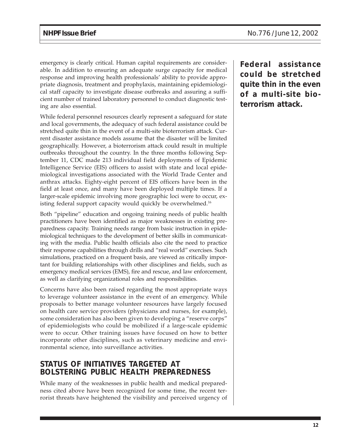emergency is clearly critical. Human capital requirements are considerable. In addition to ensuring an adequate surge capacity for medical response and improving health professionals' ability to provide appropriate diagnosis, treatment and prophylaxis, maintaining epidemiological staff capacity to investigate disease outbreaks and assuring a sufficient number of trained laboratory personnel to conduct diagnostic testing are also essential.

While federal personnel resources clearly represent a safeguard for state and local governments, the adequacy of such federal assistance could be stretched quite thin in the event of a multi-site bioterrorism attack. Current disaster assistance models assume that the disaster will be limited geographically. However, a bioterrorism attack could result in multiple outbreaks throughout the country. In the three months following September 11, CDC made 213 individual field deployments of Epidemic Intelligence Service (EIS) officers to assist with state and local epidemiological investigations associated with the World Trade Center and anthrax attacks. Eighty-eight percent of EIS officers have been in the field at least once, and many have been deployed multiple times. If a larger-scale epidemic involving more geographic loci were to occur, existing federal support capacity would quickly be overwhelmed.<sup>16</sup>

Both "pipeline" education and ongoing training needs of public health practitioners have been identified as major weaknesses in existing preparedness capacity. Training needs range from basic instruction in epidemiological techniques to the development of better skills in communicating with the media. Public health officials also cite the need to practice their response capabilities through drills and "real world" exercises. Such simulations, practiced on a frequent basis, are viewed as critically important for building relationships with other disciplines and fields, such as emergency medical services (EMS), fire and rescue, and law enforcement, as well as clarifying organizational roles and responsibilities.

Concerns have also been raised regarding the most appropriate ways to leverage volunteer assistance in the event of an emergency. While proposals to better manage volunteer resources have largely focused on health care service providers (physicians and nurses, for example), some consideration has also been given to developing a "reserve corps" of epidemiologists who could be mobilized if a large-scale epidemic were to occur. Other training issues have focused on how to better incorporate other disciplines, such as veterinary medicine and environmental science, into surveillance activities.

# **STATUS OF INITIATIVES TARGETED AT BOLSTERING PUBLIC HEALTH PREPAREDNESS**

While many of the weaknesses in public health and medical preparedness cited above have been recognized for some time, the recent terrorist threats have heightened the visibility and perceived urgency of **Federal assistance could be stretched quite thin in the even of a multi-site bioterrorism attack.**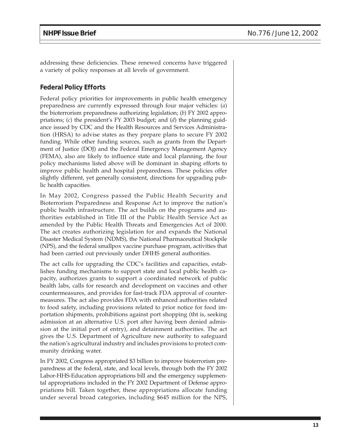addressing these deficiencies. These renewed concerns have triggered a variety of policy responses at all levels of government.

### **Federal Policy Efforts**

Federal policy priorities for improvements in public health emergency preparedness are currently expressed through four major vehicles: (*a*) the bioterrorism preparedness authorizing legislation; (*b*) FY 2002 appropriations; (*c*) the president's FY 2003 budget; and (*d*) the planning guidance issued by CDC and the Health Resources and Services Administration (HRSA) to advise states as they prepare plans to secure FY 2002 funding. While other funding sources, such as grants from the Department of Justice (DOJ) and the Federal Emergency Management Agency (FEMA), also are likely to influence state and local planning, the four policy mechanisms listed above will be dominant in shaping efforts to improve public health and hospital preparedness. These policies offer slightly different, yet generally consistent, directions for upgrading public health capacities.

In May 2002, Congress passed the Public Health Security and Bioterrorism Preparedness and Response Act to improve the nation's public health infrastructure. The act builds on the programs and authorities established in Title III of the Public Health Service Act as amended by the Public Health Threats and Emergencies Act of 2000. The act creates authorizing legislation for and expands the National Disaster Medical System (NDMS), the National Pharmaceutical Stockpile (NPS), and the federal smallpox vaccine purchase program, activities that had been carried out previously under DHHS general authorities.

The act calls for upgrading the CDC's facilities and capacities, establishes funding mechanisms to support state and local public health capacity, authorizes grants to support a coordinated network of public health labs, calls for research and development on vaccines and other countermeasures, and provides for fast-track FDA approval of countermeasures. The act also provides FDA with enhanced authorities related to food safety, including provisions related to prior notice for food importation shipments, prohibitions against port shopping (tht is, seeking admission at an alternative U.S. port after having been denied admission at the initial port of entry), and detainment authorities. The act gives the U.S. Department of Agriculture new authority to safeguard the nation's agricultural industry and includes provisions to protect community drinking water.

In FY 2002, Congress appropriated \$3 billion to improve bioterrorism preparedness at the federal, state, and local levels, through both the FY 2002 Labor-HHS-Education appropriations bill and the emergency supplemental appropriations included in the FY 2002 Department of Defense appropriations bill. Taken together, these appropriations allocate funding under several broad categories, including \$645 million for the NPS,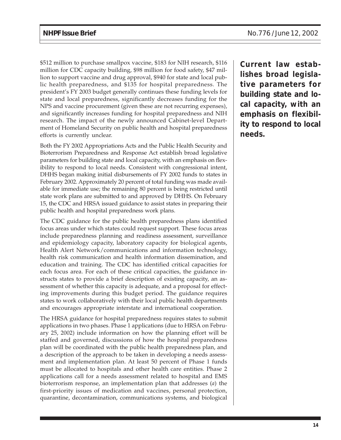\$512 million to purchase smallpox vaccine, \$183 for NIH research, \$116 million for CDC capacity building, \$98 million for food safety, \$47 million to support vaccine and drug approval, \$940 for state and local public health preparedness, and \$135 for hospital preparedness. The president's FY 2003 budget generally continues these funding levels for state and local preparedness, significantly decreases funding for the NPS and vaccine procurement (given these are not recurring expenses), and significantly increases funding for hospital preparedness and NIH research. The impact of the newly announced Cabinet-level Department of Homeland Security on public health and hospital preparedness efforts is currently unclear.

Both the FY 2002 Appropriations Acts and the Public Health Security and Bioterrorism Preparedness and Response Act establish broad legislative parameters for building state and local capacity, with an emphasis on flexibility to respond to local needs. Consistent with congressional intent, DHHS began making initial disbursements of FY 2002 funds to states in February 2002. Approximately 20 percent of total funding was made available for immediate use; the remaining 80 percent is being restricted until state work plans are submitted to and approved by DHHS. On February 15, the CDC and HRSA issued guidance to assist states in preparing their public health and hospital preparedness work plans.

The CDC guidance for the public health preparedness plans identified focus areas under which states could request support. These focus areas include preparedness planning and readiness assessment, surveillance and epidemiology capacity, laboratory capacity for biological agents, Health Alert Network/communications and information technology, health risk communication and health information dissemination, and education and training. The CDC has identified critical capacities for each focus area. For each of these critical capacities, the guidance instructs states to provide a brief description of existing capacity, an assessment of whether this capacity is adequate, and a proposal for effecting improvements during this budget period. The guidance requires states to work collaboratively with their local public health departments and encourages appropriate interstate and international cooperation.

The HRSA guidance for hospital preparedness requires states to submit applications in two phases. Phase 1 applications (due to HRSA on February 25, 2002) include information on how the planning effort will be staffed and governed, discussions of how the hospital preparedness plan will be coordinated with the public health preparedness plan, and a description of the approach to be taken in developing a needs assessment and implementation plan. At least 50 percent of Phase 1 funds must be allocated to hospitals and other health care entities. Phase 2 applications call for a needs assessment related to hospital and EMS bioterrorism response, an implementation plan that addresses (*a*) the first-priority issues of medication and vaccines, personal protection, quarantine, decontamination, communications systems, and biological

**Current law establishes broad legislative parameters for building state and local capacity, with an emphasis on flexibility to respond to local needs.**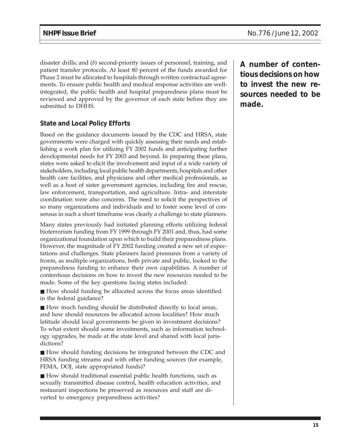disaster drills; and (*b*) second-priority issues of personnel, training, and patient transfer protocols. At least 80 percent of the funds awarded for Phase 2 must be allocated to hospitals through written contractual agreements. To ensure public health and medical response activities are wellintegrated, the public health and hospital preparedness plans must be reviewed and approved by the governor of each state before they are submitted to DHHS.

## **State and Local Policy Efforts**

Based on the guidance documents issued by the CDC and HRSA, state governments were charged with quickly assessing their needs and establishing a work plan for utilizing FY 2002 funds and anticipating further developmental needs for FY 2003 and beyond. In preparing these plans, states were asked to elicit the involvement and input of a wide variety of stakeholders, including local public health departments, hospitals and other health care facilities, and physicians and other medical professionals, as well as a host of sister government agencies, including fire and rescue, law enforcement, transportation, and agriculture. Intra- and interstate coordination were also concerns. The need to solicit the perspectives of so many organizations and individuals and to foster some level of consensus in such a short timeframe was clearly a challenge to state planners.

Many states previously had initiated planning efforts utilizing federal bioterrorism funding from FY 1999 through FY 2001 and, thus, had some organizational foundation upon which to build their preparedness plans. However, the magnitude of FY 2002 funding created a new set of expectations and challenges. State planners faced pressures from a variety of fronts, as multiple organizations, both private and public, looked to the preparedness funding to enhance their own capabilities. A number of contentious decisions on how to invest the new resources needed to be made. Some of the key questions facing states included:

■ How should funding be allocated across the focus areas identified in the federal guidance?

■ How much funding should be distributed directly to local areas, and how should resources be allocated across localities? How much latitude should local governments be given in investment decisions? To what extent should some investments, such as information technology upgrades, be made at the state level and shared with local jurisdictions?

■ How should funding decisions be integrated between the CDC and HRSA funding streams and with other funding sources (for example, FEMA, DOJ, state appropriated funds)?

■ How should traditional essential public health functions, such as sexually transmitted disease control, health education activities, and restaurant inspections be preserved as resources and staff are diverted to emergency preparedness activities?

**A number of contentious decisions on how to invest the new resources needed to be made.**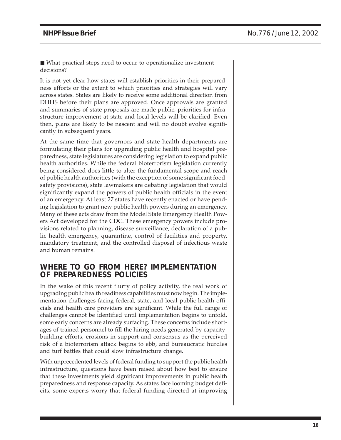■ What practical steps need to occur to operationalize investment decisions?

It is not yet clear how states will establish priorities in their preparedness efforts or the extent to which priorities and strategies will vary across states. States are likely to receive some additional direction from DHHS before their plans are approved. Once approvals are granted and summaries of state proposals are made public, priorities for infrastructure improvement at state and local levels will be clarified. Even then, plans are likely to be nascent and will no doubt evolve significantly in subsequent years.

At the same time that governors and state health departments are formulating their plans for upgrading public health and hospital preparedness, state legislatures are considering legislation to expand public health authorities. While the federal bioterrorism legislation currently being considered does little to alter the fundamental scope and reach of public health authorities (with the exception of some significant foodsafety provisions), state lawmakers are debating legislation that would significantly expand the powers of public health officials in the event of an emergency. At least 27 states have recently enacted or have pending legislation to grant new public health powers during an emergency. Many of these acts draw from the Model State Emergency Health Powers Act developed for the CDC. These emergency powers include provisions related to planning, disease surveillance, declaration of a public health emergency, quarantine, control of facilities and property, mandatory treatment, and the controlled disposal of infectious waste and human remains.

## **WHERE TO GO FROM HERE? IMPLEMENTATION OF PREPAREDNESS POLICIES**

In the wake of this recent flurry of policy activity, the real work of upgrading public health readiness capabilities must now begin. The implementation challenges facing federal, state, and local public health officials and health care providers are significant. While the full range of challenges cannot be identified until implementation begins to unfold, some early concerns are already surfacing. These concerns include shortages of trained personnel to fill the hiring needs generated by capacitybuilding efforts, erosions in support and consensus as the perceived risk of a bioterrorism attack begins to ebb, and bureaucratic hurdles and turf battles that could slow infrastructure change.

With unprecedented levels of federal funding to support the public health infrastructure, questions have been raised about how best to ensure that these investments yield significant improvements in public health preparedness and response capacity. As states face looming budget deficits, some experts worry that federal funding directed at improving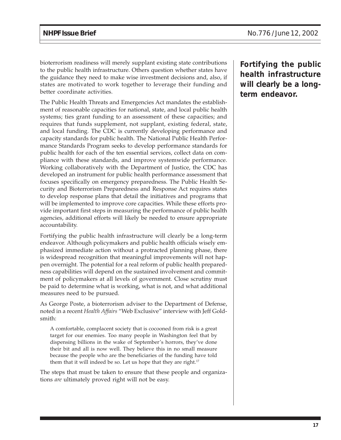bioterrorism readiness will merely supplant existing state contributions to the public health infrastructure. Others question whether states have the guidance they need to make wise investment decisions and, also, if states are motivated to work together to leverage their funding and better coordinate activities.

The Public Health Threats and Emergencies Act mandates the establishment of reasonable capacities for national, state, and local public health systems; ties grant funding to an assessment of these capacities; and requires that funds supplement, not supplant, existing federal, state, and local funding. The CDC is currently developing performance and capacity standards for public health. The National Public Health Performance Standards Program seeks to develop performance standards for public health for each of the ten essential services, collect data on compliance with these standards, and improve systemwide performance. Working collaboratively with the Department of Justice, the CDC has developed an instrument for public health performance assessment that focuses specifically on emergency preparedness. The Public Health Security and Bioterrorism Preparedness and Response Act requires states to develop response plans that detail the initiatives and programs that will be implemented to improve core capacities. While these efforts provide important first steps in measuring the performance of public health agencies, additional efforts will likely be needed to ensure appropriate accountability.

Fortifying the public health infrastructure will clearly be a long-term endeavor. Although policymakers and public health officials wisely emphasized immediate action without a protracted planning phase, there is widespread recognition that meaningful improvements will not happen overnight. The potential for a real reform of public health preparedness capabilities will depend on the sustained involvement and commitment of policymakers at all levels of government. Close scrutiny must be paid to determine what is working, what is not, and what additional measures need to be pursued.

As George Poste, a bioterrorism adviser to the Department of Defense, noted in a recent *Health Affairs* "Web Exclusive" interview with Jeff Goldsmith:

A comfortable, complacent society that is cocooned from risk is a great target for our enemies. Too many people in Washington feel that by dispensing billions in the wake of September's horrors, they've done their bit and all is now well. They believe this in no small measure because the people who are the beneficiaries of the funding have told them that it will indeed be so. Let us hope that they are right. $17$ 

The steps that must be taken to ensure that these people and organizations *are* ultimately proved right will not be easy.

**Fortifying the public health infrastructure will clearly be a longterm endeavor.**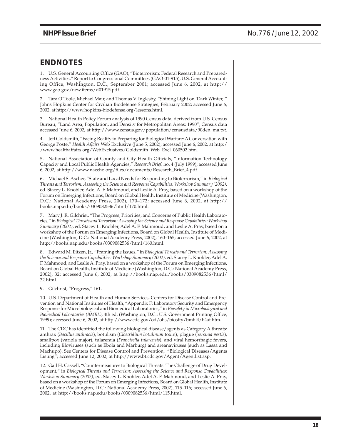## **ENDNOTES**

1. U.S. General Accounting Office (GAO), "Bioterrorism: Federal Research and Preparedness Activities," Report to Congressional Committees (GAO-01-915), U.S. General Accounting Office, Washington, D.C., September 2001; accessed June 6, 2002, at http:// www.gao.gov/new.items/d01915.pdf.

2. Tara O'Toole, Michael Mair, and Thomas V. Inglesby, "Shining Light on 'Dark Winter,'" Johns Hopkins Center for Civilian Biodefense Strategies, February 2002; accessed June 6, 2002, at http://www.hopkins-biodefense.org/lessons.html.

3. National Health Policy Forum analysis of 1990 Census data, derived from U.S. Census Bureau, "Land Area, Population, and Density for Metropolitan Areas: 1990"; Census data accessed June 6, 2002, at http://www.census.gov/population/censusdata/90den\_ma.txt.

4. Jeff Goldsmith, "Facing Reality in Preparing for Biological Warfare: A Conversation with George Poste," *Health Affairs* Web Exclusive (June 5, 2002); accessed June 6, 2002, at http:/ /www.healthaffairs.org/WebExclusives/Goldsmith\_Web\_Excl\_060502.htm.

5. National Association of County and City Health Officials, "Information Technology Capacity and Local Public Health Agencies," *Research Brief,* no. 4 (July 1999); accessed June 6, 2002, at http://www.naccho.org/files/documents/Research\_Brief\_4.pdf.

6. Michael S. Ascher, "State and Local Needs for Responding to Bioterrorism," in *Biological Threats and Terrorism: Assessing the Science and Response Capabilities: Workshop Summary (2002),* ed. Stacey L. Knobler, Adel A. F. Mahmoud, and Leslie A. Pray, based on a workshop of the Forum on Emerging Infections, Board on Global Health, Institute of Medicine (Washington, D.C.: National Academy Press, 2002), 170–172; accessed June 6, 2002, at http:// books.nap.edu/books/0309082536/html/170.html.

7. Mary J. R. Gilchrist, "The Progress, Priorities, and Concerns of Public Health Laboratories," in *Biological Threats and Terrorism: Assessing the Science and Response Capabilities: Workshop Summary (2002),* ed. Stacey L. Knobler, Adel A. F. Mahmoud, and Leslie A. Pray, based on a workshop of the Forum on Emerging Infections, Board on Global Health, Institute of Medicine (Washington, D.C.: National Academy Press, 2002), 160–165; accessed June 6, 2002, at http://books.nap.edu/books/0309082536/html/160.html.

8. Edward M. Eitzen, Jr., "Framing the Issues," in *Biological Threats and Terrorism: Assessing the Science and Response Capabilities: Workshop Summary (2002),* ed. Stacey L. Knobler, Adel A. F. Mahmoud, and Leslie A. Pray, based on a workshop of the Forum on Emerging Infections, Board on Global Health, Institute of Medicine (Washington, D.C.: National Academy Press, 2002), 32; accessed June 6, 2002, at http://books.nap.edu/books/0309082536/html/ 32.html.

9. Gilchrist, "Progress," 161.

10. U.S. Department of Health and Human Services, Centers for Disease Control and Prevention and National Institutes of Health, "Appendix F: Laboratory Security and Emergency Response for Microbiological and Biomedical Laboratories," in *Biosafety in Microbiological and Biomedical Laboratories (BMBL),* 4th ed. (Washington, D.C.: U.S. Government Printing Office, 1999); accessed June 6, 2002, at http://www.cdc.gov/od/ohs/biosfty/bmbl4/b4af.htm.

11. The CDC has identified the following biological disease/agents as Category A threats: anthrax (*Bacillus anthracis*), botulism (*Clostridium botulinum* toxin), plague (*Yersinia pestis*), smallpox (variola major), tularemia (*Francisella tularensis*), and viral hemorrhagic fevers, including filoviruses (such as Ebola and Marburg) and areanaviruses (such as Lassa and Machupo). See Centers for Disease Control and Prevention, "Biological Diseases/Agents Listing"; accessed June 12, 2002, at http://www.bt.cdc.gov/Agent/Agentlist.asp.

12. Gail H. Cassell, "Countermeasures to Biological Threats: The Challenge of Drug Development," in *Biological Threats and Terrorism: Assessing the Science and Response Capabilities: Workshop Summary (2002),* ed. Stacey L. Knobler, Adel A. F. Mahmoud, and Leslie A. Pray, based on a workshop of the Forum on Emerging Infections, Board on Global Health, Institute of Medicine (Washington, D.C.: National Academy Press, 2002), 115–116; accessed June 6, 2002, at http://books.nap.edu/books/0309082536/html/115.html.